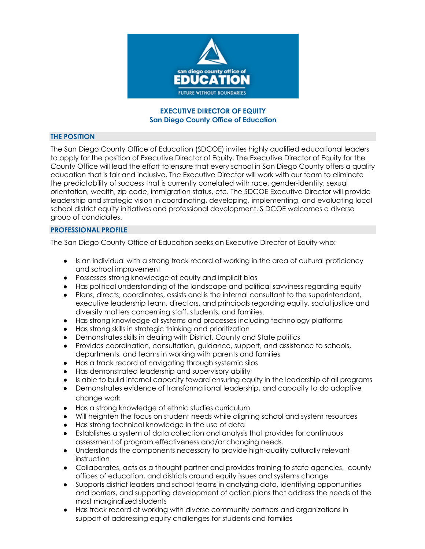

## **EXECUTIVE DIRECTOR OF EQUITY San Diego County Office of Education**

## **THE POSITION**

The San Diego County Office of Education (SDCOE) invites highly qualified educational leaders to apply for the position of Executive Director of Equity. The Executive Director of Equity for the County Office will lead the effort to ensure that every school in San Diego County offers a quality education that is fair and inclusive. The Executive Director will work with our team to eliminate the predictability of success that is currently correlated with race, gender-identity, sexual orientation, wealth, zip code, immigration status, etc. The SDCOE Executive Director will provide leadership and strategic vision in coordinating, developing, implementing, and evaluating local school district equity initiatives and professional development. S DCOE welcomes a diverse group of candidates.

# **PROFESSIONAL PROFILE**

The San Diego County Office of Education seeks an Executive Director of Equity who:

- Is an individual with a strong track record of working in the area of cultural proficiency and school improvement
- Possesses strong knowledge of equity and implicit bias
- Has political understanding of the landscape and political savviness regarding equity
- Plans, directs, coordinates, assists and is the internal consultant to the superintendent, executive leadership team, directors, and principals regarding equity, social justice and diversity matters concerning staff, students, and families.
- Has strong knowledge of systems and processes including technology platforms
- Has strong skills in strategic thinking and prioritization
- Demonstrates skills in dealing with District, County and State politics
- Provides coordination, consultation, guidance, support, and assistance to schools, departments, and teams in working with parents and families
- Has a track record of navigating through systemic silos
- Has demonstrated leadership and supervisory ability
- Is able to build internal capacity toward ensuring equity in the leadership of all programs
- Demonstrates evidence of transformational leadership, and capacity to do adaptive change work
- Has a strong knowledge of ethnic studies curriculum
- Will heighten the focus on student needs while aligning school and system resources
- Has strong technical knowledge in the use of data
- Establishes a system of data collection and analysis that provides for continuous assessment of program effectiveness and/or changing needs.
- Understands the components necessary to provide high-quality culturally relevant instruction
- Collaborates, acts as a thought partner and provides training to state agencies, county offices of education, and districts around equity issues and systems change
- Supports district leaders and school teams in analyzing data, identifying opportunities and barriers, and supporting development of action plans that address the needs of the most marginalized students
- Has track record of working with diverse community partners and organizations in support of addressing equity challenges for students and families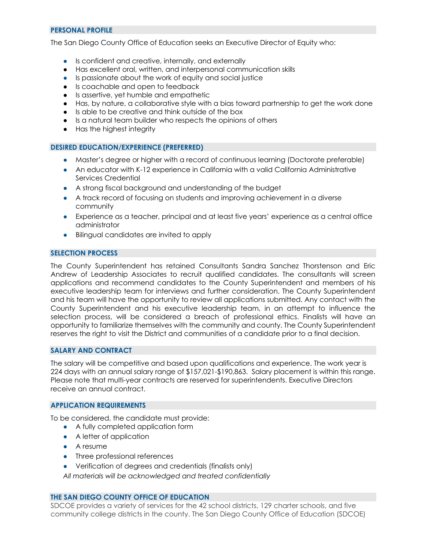# **PERSONAL PROFILE**

The San Diego County Office of Education seeks an Executive Director of Equity who:

- Is confident and creative, internally, and externally
- Has excellent oral, written, and interpersonal communication skills
- Is passionate about the work of equity and social justice
- Is coachable and open to feedback
- Is assertive, yet humble and empathetic
- Has, by nature, a collaborative style with a bias toward partnership to get the work done
- Is able to be creative and think outside of the box
- Is a natural team builder who respects the opinions of others
- Has the highest integrity

### **DESIRED EDUCATION/EXPERIENCE (PREFERRED)**

- Master's degree or higher with a record of continuous learning (Doctorate preferable)
- An educator with K-12 experience in California with a valid California Administrative Services Credential
- A strong fiscal background and understanding of the budget
- A track record of focusing on students and improving achievement in a diverse community
- Experience as a teacher, principal and at least five years' experience as a central office administrator
- Bilingual candidates are invited to apply

# **SELECTION PROCESS**

The County Superintendent has retained Consultants Sandra Sanchez Thorstenson and Eric Andrew of Leadership Associates to recruit qualified candidates. The consultants will screen applications and recommend candidates to the County Superintendent and members of his executive leadership team for interviews and further consideration. The County Superintendent and his team will have the opportunity to review all applications submitted. Any contact with the County Superintendent and his executive leadership team, in an attempt to influence the selection process, will be considered a breach of professional ethics. Finalists will have an opportunity to familiarize themselves with the community and county. The County Superintendent reserves the right to visit the District and communities of a candidate prior to a final decision.

# **SALARY AND CONTRACT**

The salary will be competitive and based upon qualifications and experience. The work year is 224 days with an annual salary range of \$157,021-\$190,863. Salary placement is within this range. Please note that multi-year contracts are reserved for superintendents. Executive Directors receive an annual contract.

#### **APPLICATION REQUIREMENTS**

To be considered, the candidate must provide:

- A fully completed application form
- A letter of application
- A resume
- Three professional references
- Verification of degrees and credentials (finalists only)

*All materials will be acknowledged and treated confidentially*

#### **THE SAN DIEGO COUNTY OFFICE OF EDUCATION**

SDCOE provides a variety of services for the 42 school districts, 129 charter schools, and five community college districts in the county. The San Diego County Office of Education (SDCOE)